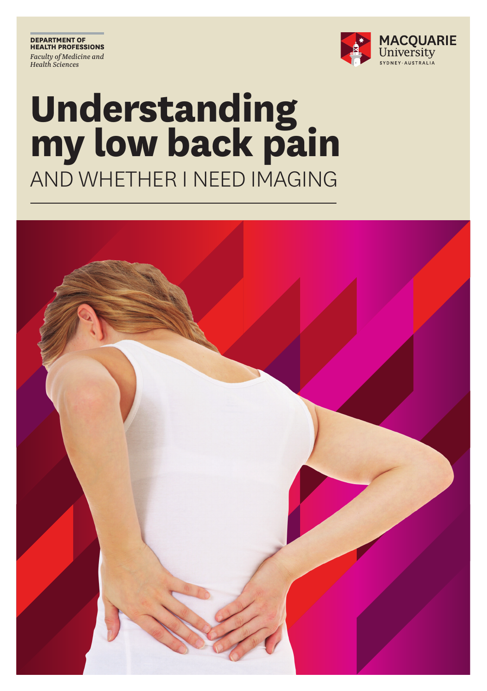**DEPARTMENT OF HEALTH PROFESSIONS** *Faculty of Medicine and Health Sciences*



### **Understanding my low back pain** AND WHETHER I NEED IMAGING

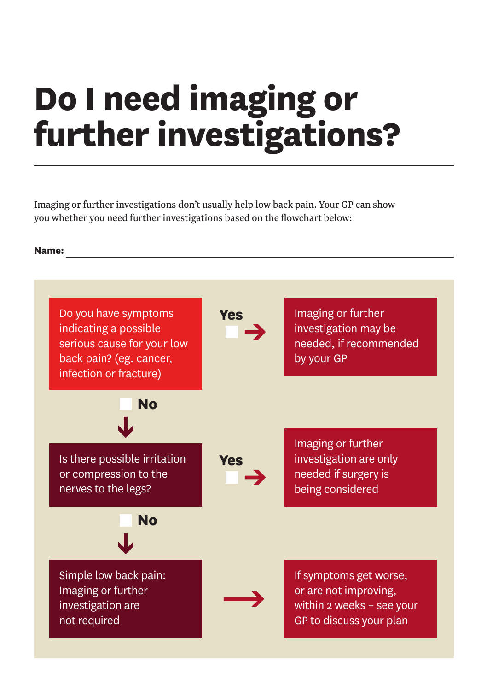### **Do I need imaging or further investigations?**

Imaging or further investigations don't usually help low back pain. Your GP can show you whether you need further investigations based on the flowchart below:

#### **Name:**

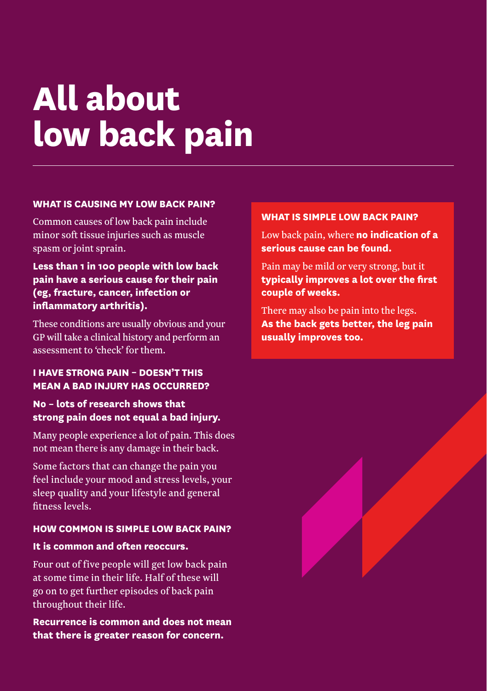### **All about low back pain**

#### **WHAT IS CAUSING MY LOW BACK PAIN?**

Common causes of low back pain include minor soft tissue injuries such as muscle spasm or joint sprain.

#### **Less than 1 in 100 people with low back pain have a serious cause for their pain (eg, fracture, cancer, infection or inflammatory arthritis).**

These conditions are usually obvious and your GP will take a clinical history and perform an assessment to 'check' for them.

#### **I HAVE STRONG PAIN – DOESN'T THIS MEAN A BAD INJURY HAS OCCURRED?**

### **No – lots of research shows that strong pain does not equal a bad injury.**

Many people experience a lot of pain. This does not mean there is any damage in their back.

Some factors that can change the pain you feel include your mood and stress levels, your sleep quality and your lifestyle and general fitness levels.

#### **HOW COMMON IS SIMPLE LOW BACK PAIN?**

#### **It is common and often reoccurs.**

Four out of five people will get low back pain at some time in their life. Half of these will go on to get further episodes of back pain throughout their life.

**Recurrence is common and does not mean that there is greater reason for concern.**

#### **WHAT IS SIMPLE LOW BACK PAIN?**

Low back pain, where **no indication of a serious cause can be found.** 

Pain may be mild or very strong, but it **typically improves a lot over the first couple of weeks.**

There may also be pain into the legs. **As the back gets better, the leg pain usually improves too.**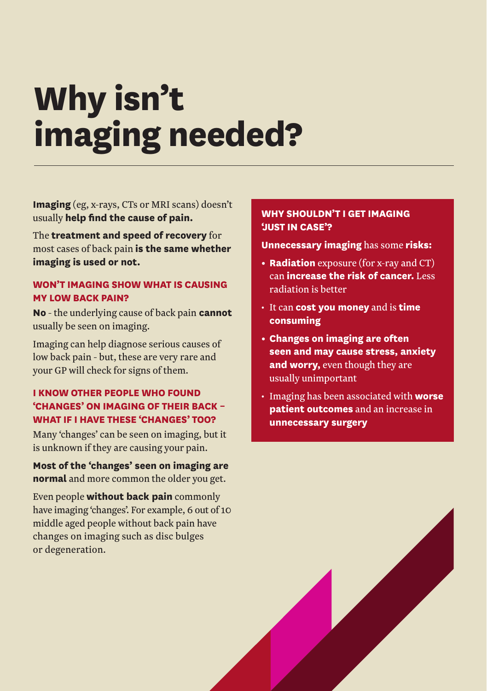# **Why isn't imaging needed?**

**Imaging** (eg, x-rays, CTs or MRI scans) doesn't usually **help find the cause of pain.**

The **treatment and speed of recovery** for most cases of back pain **is the same whether imaging is used or not.**

#### **WON'T IMAGING SHOW WHAT IS CAUSING MY LOW BACK PAIN?**

**No** - the underlying cause of back pain **cannot**  usually be seen on imaging.

Imaging can help diagnose serious causes of low back pain - but, these are very rare and your GP will check for signs of them.

#### **I KNOW OTHER PEOPLE WHO FOUND 'CHANGES' ON IMAGING OF THEIR BACK – WHAT IF I HAVE THESE 'CHANGES' TOO?**

Many 'changes' can be seen on imaging, but it is unknown if they are causing your pain.

**Most of the 'changes' seen on imaging are normal** and more common the older you get.

Even people **without back pain** commonly have imaging 'changes'. For example, 6 out of 10 middle aged people without back pain have changes on imaging such as disc bulges or degeneration.

#### **WHY SHOULDN'T I GET IMAGING 'JUST IN CASE'?**

**Unnecessary imaging** has some **risks:**

- **• Radiation** exposure (for x-ray and CT) can **increase the risk of cancer.** Less radiation is better
- • It can **cost you money** and is **time consuming**
- **• Changes on imaging are often seen and may cause stress, anxiety and worry,** even though they are usually unimportant
- • Imaging has been associated with **worse patient outcomes** and an increase in **unnecessary surgery**

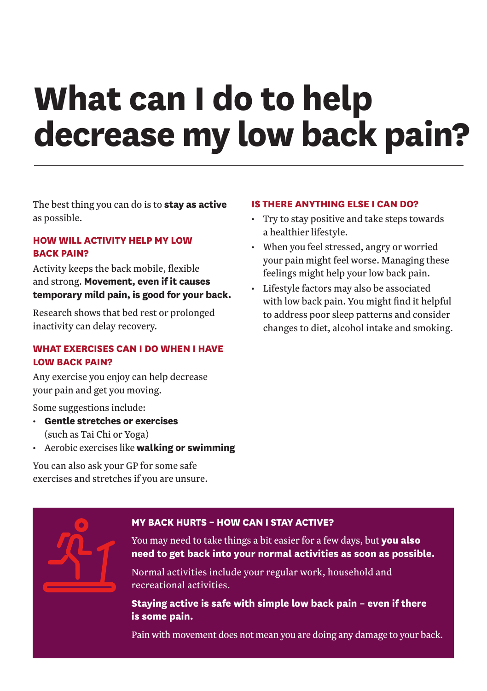### **What can I do to help decrease my low back pain?**

The best thing you can do is to **stay as active** as possible.

#### **HOW WILL ACTIVITY HELP MY LOW BACK PAIN?**

Activity keeps the back mobile, flexible and strong. **Movement, even if it causes temporary mild pain, is good for your back.**

Research shows that bed rest or prolonged inactivity can delay recovery.

#### **WHAT EXERCISES CAN I DO WHEN I HAVE LOW BACK PAIN?**

Any exercise you enjoy can help decrease your pain and get you moving.

Some suggestions include:

- **Gentle stretches or exercises** (such as Tai Chi or Yoga)
- • Aerobic exercises like **walking or swimming**

You can also ask your GP for some safe exercises and stretches if you are unsure.

#### **IS THERE ANYTHING ELSE I CAN DO?**

- Try to stay positive and take steps towards a healthier lifestyle.
- • When you feel stressed, angry or worried your pain might feel worse. Managing these feelings might help your low back pain.
- • Lifestyle factors may also be associated with low back pain. You might find it helpful to address poor sleep patterns and consider changes to diet, alcohol intake and smoking.

#### **MY BACK HURTS – HOW CAN I STAY ACTIVE?**

You may need to take things a bit easier for a few days, but **you also need to get back into your normal activities as soon as possible.**

Normal activities include your regular work, household and recreational activities.

**Staying active is safe with simple low back pain – even if there is some pain.**

Pain with movement does not mean you are doing any damage to your back.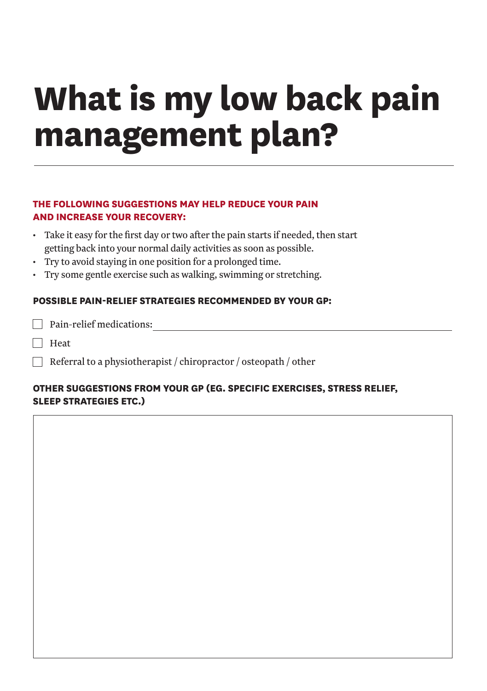# **What is my low back pain management plan?**

#### **THE FOLLOWING SUGGESTIONS MAY HELP REDUCE YOUR PAIN AND INCREASE YOUR RECOVERY:**

- • Take it easy for the first day or two after the pain starts if needed, then start getting back into your normal daily activities as soon as possible.
- • Try to avoid staying in one position for a prolonged time.
- • Try some gentle exercise such as walking, swimming or stretching.

#### **POSSIBLE PAIN-RELIEF STRATEGIES RECOMMENDED BY YOUR GP:**

| $\Box$ Pain-relief medications: |
|---------------------------------|
|---------------------------------|

**Heat** 

Referral to a physiotherapist / chiropractor / osteopath / other

#### **OTHER SUGGESTIONS FROM YOUR GP (EG. SPECIFIC EXERCISES, STRESS RELIEF, SLEEP STRATEGIES ETC.)**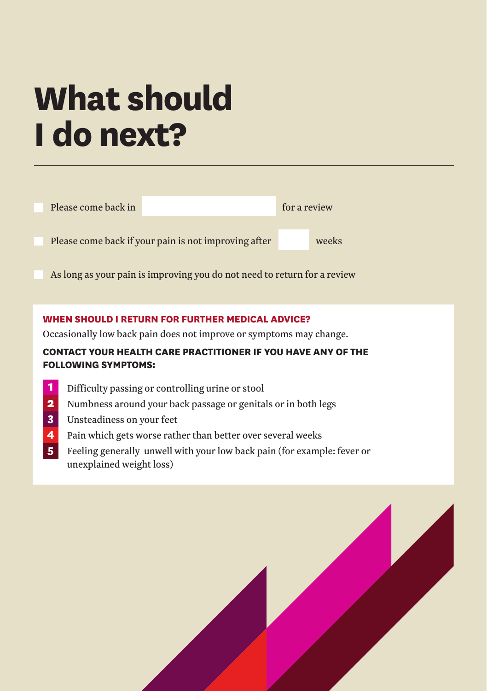### **What should I do next?**

| Please come back in                                                      | for a review |       |
|--------------------------------------------------------------------------|--------------|-------|
| Please come back if your pain is not improving after                     |              | weeks |
| As long as your pain is improving you do not need to return for a review |              |       |

#### **WHEN SHOULD I RETURN FOR FURTHER MEDICAL ADVICE?**

Occasionally low back pain does not improve or symptoms may change.

### **CONTACT YOUR HEALTH CARE PRACTITIONER IF YOU HAVE ANY OF THE FOLLOWING SYMPTOMS:**

- Difficulty passing or controlling urine or stool **1**
- Numbness around your back passage or genitals or in both legs **2**
- Unsteadiness on your feet **3**
- Pain which gets worse rather than better over several weeks **4**
- Feeling generally unwell with your low back pain (for example: fever or unexplained weight loss) **5**